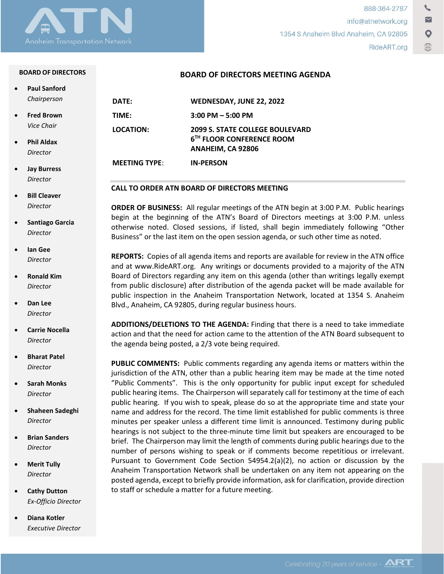

#### **BOARD OF DIRECTORS**

| <b>Paul Sanford</b> |  |
|---------------------|--|
| Chairperson         |  |

• **Fred Brown** *Vice Chair*

- **Phil Aldax** *Director*
- **Jay Burress** *Director*
- **Bill Cleaver** *Director*
- **Santiago Garcia** *Director*
- **Ian Gee** *Director*
- **Ronald Kim** *Director*
- **Dan Lee** *Director*
- **Carrie Nocella** *Director*
- **Bharat Patel** *Director*
- **Sarah Monks** *Director*
- **Shaheen Sadeghi** *Director*
- **Brian Sanders** *Director*
- **Merit Tully** *Director*
- **Cathy Dutton** *Ex-Officio Director*
- **Diana Kotler** *Executive Director*

|  | <b>BOARD OF DIRECTORS MEETING AGENDA</b> |  |  |
|--|------------------------------------------|--|--|
|--|------------------------------------------|--|--|

| DATE:                | WEDNESDAY, JUNE 22, 2022                                                                             |
|----------------------|------------------------------------------------------------------------------------------------------|
| TIME:                | $3:00$ PM $-5:00$ PM                                                                                 |
| LOCATION:            | <b>2099 S. STATE COLLEGE BOULEVARD</b><br>6 <sup>TH</sup> FLOOR CONFERENCE ROOM<br>ANAHEIM, CA 92806 |
| <b>MEETING TYPE:</b> | <b>IN-PERSON</b>                                                                                     |

#### **CALL TO ORDER ATN BOARD OF DIRECTORS MEETING**

**ORDER OF BUSINESS:** All regular meetings of the ATN begin at 3:00 P.M. Public hearings begin at the beginning of the ATN's Board of Directors meetings at 3:00 P.M. unless otherwise noted. Closed sessions, if listed, shall begin immediately following "Other Business" or the last item on the open session agenda, or such other time as noted.

**REPORTS:** Copies of all agenda items and reports are available for review in the ATN office and at www.RideART.org. Any writings or documents provided to a majority of the ATN Board of Directors regarding any item on this agenda (other than writings legally exempt from public disclosure) after distribution of the agenda packet will be made available for public inspection in the Anaheim Transportation Network, located at 1354 S. Anaheim Blvd., Anaheim, CA 92805, during regular business hours.

**ADDITIONS/DELETIONS TO THE AGENDA:** Finding that there is a need to take immediate action and that the need for action came to the attention of the ATN Board subsequent to the agenda being posted, a 2/3 vote being required.

**PUBLIC COMMENTS:** Public comments regarding any agenda items or matters within the jurisdiction of the ATN, other than a public hearing item may be made at the time noted "Public Comments". This is the only opportunity for public input except for scheduled public hearing items. The Chairperson will separately call for testimony at the time of each public hearing. If you wish to speak, please do so at the appropriate time and state your name and address for the record. The time limit established for public comments is three minutes per speaker unless a different time limit is announced. Testimony during public hearings is not subject to the three-minute time limit but speakers are encouraged to be brief. The Chairperson may limit the length of comments during public hearings due to the number of persons wishing to speak or if comments become repetitious or irrelevant. Pursuant to Government Code Section 54954.2(a)(2), no action or discussion by the Anaheim Transportation Network shall be undertaken on any item not appearing on the posted agenda, except to briefly provide information, ask for clarification, provide direction to staff or schedule a matter for a future meeting.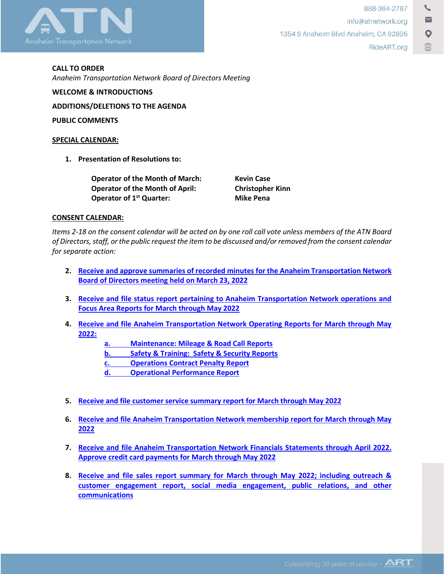

**CALL TO ORDER**  *Anaheim Transportation Network Board of Directors Meeting*

**ADDITIONS/DELETIONS TO THE AGENDA**

**WELCOME & INTRODUCTIONS**

**PUBLIC COMMENTS**

#### **SPECIAL CALENDAR:**

**1. Presentation of Resolutions to:**

**Operator of the Month of March: Kevin Case Operator of the Month of April: Christopher Kinn Operator of 1<sup>st</sup> Quarter:** Mike Pena

### **CONSENT CALENDAR:**

*Items 2-18 on the consent calendar will be acted on by one roll call vote unless members of the ATN Board of Directors, staff, or the public request the item to be discussed and/or removed from the consent calendar for separate action:*

- **2. [Receive and approve summaries of recorded minutes for the Anaheim Transportation Network](https://rideart.org/wp-content/uploads/2022/06/Agenda-Item-2-Minutes-for-March-20th-Board-Meeting.pdf)  [Board of Directors meeting held on March 23, 2022](https://rideart.org/wp-content/uploads/2022/06/Agenda-Item-2-Minutes-for-March-20th-Board-Meeting.pdf)**
- **3. [Receive and file status report pertaining to Anaheim Transportation Network operations and](https://rideart.org/wp-content/uploads/2022/06/Agenda-Item-3_Focus-Area-Report.pdf)  [Focus Area Reports for](https://rideart.org/wp-content/uploads/2022/06/Agenda-Item-3_Focus-Area-Report.pdf) March through May 2022**
- **4. [Receive and file Anaheim Transportation Network Operating Reports for March](https://rideart.org/wp-content/uploads/2022/06/Agenda-Item-4-Ops-Reports.pdf) through May [2022:](https://rideart.org/wp-content/uploads/2022/06/Agenda-Item-4-Ops-Reports.pdf)**
	- **a. [Maintenance: Mileage & Road Call Reports](https://rideart.org/wp-content/uploads/2022/06/Agenda-Item-4-Ops-Reports.pdf)**
	- **b. [Safety & Training: Safety & Security Reports](https://rideart.org/wp-content/uploads/2022/06/Agenda-Item-4-Ops-Reports.pdf)**
	- **c. [Operations Contract Penalty Report](https://rideart.org/wp-content/uploads/2022/06/Agenda-Item-4-Ops-Reports.pdf)**
	- **d. [Operational Performance Report](https://rideart.org/wp-content/uploads/2022/06/Agenda-Item-4-Ops-Reports.pdf)**
- **5. [Receive and file customer service summary report for March through May 2022](https://rideart.org/wp-content/uploads/2022/06/Agenda-Item-5-Customer-Service.pdf)**
- **6. [Receive and file Anaheim Transportation Network membership report for March](https://rideart.org/wp-content/uploads/2022/06/Agenda-Item-6-Membership.pdf) through May [2022](https://rideart.org/wp-content/uploads/2022/06/Agenda-Item-6-Membership.pdf)**
- **7. Receive and file Anaheim [Transportation Network Financials Statements through April](https://rideart.org/wp-content/uploads/2022/06/Agenda-Item-7_-Financials.pdf) 2022. [Approve credit card payments for March](https://rideart.org/wp-content/uploads/2022/06/Agenda-Item-7_-Financials.pdf) through May 2022**
- **8. [Receive and file sales report summary for March](https://rideart.org/wp-content/uploads/2022/06/Agenda-Item-8-Sales-and-Marketing.pdf) through May 2022; including outreach & [customer engagement report, social media engagement, public relations, and other](https://rideart.org/wp-content/uploads/2022/06/Agenda-Item-8-Sales-and-Marketing.pdf)  [communications](https://rideart.org/wp-content/uploads/2022/06/Agenda-Item-8-Sales-and-Marketing.pdf)**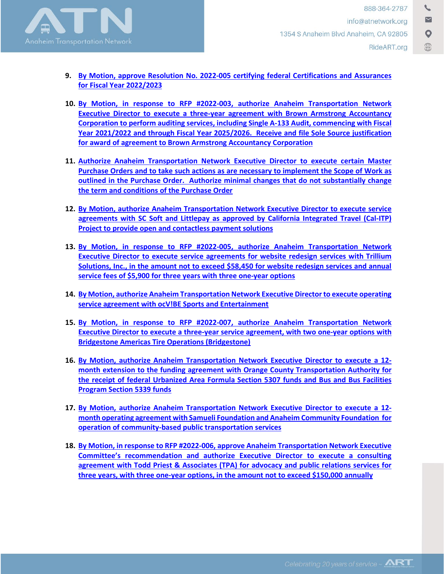

- **9. [By Motion, approve Resolution No. 2022-005](https://rideart.org/wp-content/uploads/2022/06/Agenda-Item-9-RFP-2022-005.pdf) certifying federal Certifications and Assurances [for Fiscal Year 2022/2023](https://rideart.org/wp-content/uploads/2022/06/Agenda-Item-9-RFP-2022-005.pdf)**
- **10. [By Motion, in response to RFP #2022-003, authorize Anaheim Transportation Network](https://rideart.org/wp-content/uploads/2022/06/Agenda-Item-10-Auditing-Services.pdf)  [Executive Director to execute a three-year agreement with Brown Armstrong Accountancy](https://rideart.org/wp-content/uploads/2022/06/Agenda-Item-10-Auditing-Services.pdf)  Corporation to perform auditing services, including [Single A-133 Audit, commencing with Fiscal](https://rideart.org/wp-content/uploads/2022/06/Agenda-Item-10-Auditing-Services.pdf)  [Year 2021/2022 and through Fiscal Year 2025/2026. Receive and file Sole Source justification](https://rideart.org/wp-content/uploads/2022/06/Agenda-Item-10-Auditing-Services.pdf)  for award of agreement to [Brown Armstrong Accountancy Corporation](https://rideart.org/wp-content/uploads/2022/06/Agenda-Item-10-Auditing-Services.pdf)**
- **11. [Authorize Anaheim Transportation Network Executive Director to execute certain Master](https://rideart.org/wp-content/uploads/2022/06/Agenda-Item-11-Master-Purchase-Orders.pdf)  [Purchase Orders and to take such actions as are necessary to implement the Scope of Work as](https://rideart.org/wp-content/uploads/2022/06/Agenda-Item-11-Master-Purchase-Orders.pdf)  [outlined in the Purchase Order. Authorize minimal changes that do not substantially change](https://rideart.org/wp-content/uploads/2022/06/Agenda-Item-11-Master-Purchase-Orders.pdf)  [the term and conditions of the Purchase](https://rideart.org/wp-content/uploads/2022/06/Agenda-Item-11-Master-Purchase-Orders.pdf) Order**
- **12. [By Motion, authorize Anaheim Transportation Network Executive Director to execute service](https://rideart.org/wp-content/uploads/2022/06/Agenda-Item-12-Contactless-Payment-Solutions.pdf)  [agreements with SC Soft and Littlepay](https://rideart.org/wp-content/uploads/2022/06/Agenda-Item-12-Contactless-Payment-Solutions.pdf) as approved by California Integrated Travel (Cal-ITP) Project [to provide open and contactless payment solutions](https://rideart.org/wp-content/uploads/2022/06/Agenda-Item-12-Contactless-Payment-Solutions.pdf)**
- **13. [By Motion, in response to RFP #2022-005, authorize Anaheim Transportation Network](https://rideart.org/wp-content/uploads/2022/06/Agenda-Item-13-Website-Service-Agreement_Trillium.pdf)  [Executive Director to execute service agreements for website redesign services with Trillium](https://rideart.org/wp-content/uploads/2022/06/Agenda-Item-13-Website-Service-Agreement_Trillium.pdf)  Solutions, Inc., in the amount not to exceed \$58,450 [for website redesign services and annual](https://rideart.org/wp-content/uploads/2022/06/Agenda-Item-13-Website-Service-Agreement_Trillium.pdf)  service fees of \$5,900 [for three years with three one-year options](https://rideart.org/wp-content/uploads/2022/06/Agenda-Item-13-Website-Service-Agreement_Trillium.pdf)**
- **14. [By Motion, authorize Anaheim Transportation Network Executive Director to execute operating](https://rideart.org/wp-content/uploads/2022/06/Agenda-Item-14-Operating-Service-Agreement-ocVBE.pdf)  [service agreement with ocV!BE Sports and Entertainment](https://rideart.org/wp-content/uploads/2022/06/Agenda-Item-14-Operating-Service-Agreement-ocVBE.pdf)**
- **15. By Motion, in response to RFP #2022-007, [authorize Anaheim Transportation Network](https://rideart.org/wp-content/uploads/2022/06/Agenda-Item-15-RFP-2022-007.pdf)  [Executive Director to execute a three-year service agreement, with two one-year options with](https://rideart.org/wp-content/uploads/2022/06/Agenda-Item-15-RFP-2022-007.pdf)  [Bridgestone Americas](https://rideart.org/wp-content/uploads/2022/06/Agenda-Item-15-RFP-2022-007.pdf) Tire Operations (Bridgestone)**
- **16. [By Motion, authorize Anaheim Transportation Network Executive Director to execute a](https://rideart.org/wp-content/uploads/2022/06/Agenda-Item-16-Section-5307-and-5339.pdf) 12 [month extension to the funding agreement with Orange County Transportation Authority for](https://rideart.org/wp-content/uploads/2022/06/Agenda-Item-16-Section-5307-and-5339.pdf)  [the receipt of federal Urbanized Area Formula Section](https://rideart.org/wp-content/uploads/2022/06/Agenda-Item-16-Section-5307-and-5339.pdf) 5307 funds and Bus and Bus Facilities [Program Section](https://rideart.org/wp-content/uploads/2022/06/Agenda-Item-16-Section-5307-and-5339.pdf) 5339 funds**
- **17. [By Motion, authorize Anaheim Transportation Network Executive Director to execute a 12](https://rideart.org/wp-content/uploads/2022/06/Agenda-Item-17-Operating-Agreement-Samueli-and-ACF.pdf) [month operating agreement with Samueli Foundation and Anaheim Community Foundation for](https://rideart.org/wp-content/uploads/2022/06/Agenda-Item-17-Operating-Agreement-Samueli-and-ACF.pdf)  [operation of community-based public transportation services](https://rideart.org/wp-content/uploads/2022/06/Agenda-Item-17-Operating-Agreement-Samueli-and-ACF.pdf)**
- **18. [By Motion, in response to RFP #2022-006, approve Anaheim Transportation Network Executive](https://rideart.org/wp-content/uploads/2022/06/Agenda-Item-18-RFP-2022-006.pdf)  [Committee's recommendation and authorize Executive Director to](https://rideart.org/wp-content/uploads/2022/06/Agenda-Item-18-RFP-2022-006.pdf) execute a consulting [agreement with Todd Priest & Associates \(TPA\) for advocacy and public relations services for](https://rideart.org/wp-content/uploads/2022/06/Agenda-Item-18-RFP-2022-006.pdf)  [three years, with three one-year options, in the amount not to exceed \\$150,000 annually](https://rideart.org/wp-content/uploads/2022/06/Agenda-Item-18-RFP-2022-006.pdf)**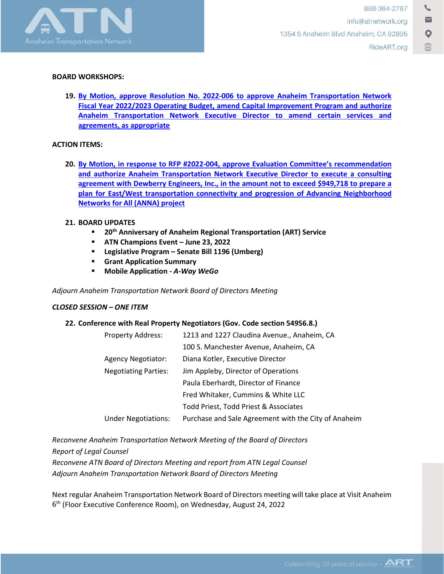

### **BOARD WORKSHOPS:**

**19. [By Motion, approve Resolution No. 2022-006](https://rideart.org/wp-content/uploads/2022/06/Agenda-Item-19-Resolution-No.-2022-006-Budget-Transmittal-FY23.pdf) to approve Anaheim Transportation Network [Fiscal Year 2022/2023 Operating Budget,](https://rideart.org/wp-content/uploads/2022/06/Agenda-Item-19-Resolution-No.-2022-006-Budget-Transmittal-FY23.pdf) amend Capital Improvement Program and authorize [Anaheim Transportation Network Executive Director to amend certain services and](https://rideart.org/wp-content/uploads/2022/06/Agenda-Item-19-Resolution-No.-2022-006-Budget-Transmittal-FY23.pdf) [agreements, as appropriate](https://rideart.org/wp-content/uploads/2022/06/Agenda-Item-19-Resolution-No.-2022-006-Budget-Transmittal-FY23.pdf)**

## **ACTION ITEMS:**

**20. [By Motion, in response to RFP #2022-004, approve Evaluation Committee's recommendation](https://rideart.org/wp-content/uploads/2022/06/Agenda-Item-20-RFP-2022-004.pdf)  [and authorize Anaheim Transportation Network Executive Director to execute a consulting](https://rideart.org/wp-content/uploads/2022/06/Agenda-Item-20-RFP-2022-004.pdf)  agreement with Dewberry Engineers, Inc., [in the amount not to exceed \\$949,718](https://rideart.org/wp-content/uploads/2022/06/Agenda-Item-20-RFP-2022-004.pdf) to prepare a [plan for East/West transportation connectivity and progression of Advancing Neighborhood](https://rideart.org/wp-content/uploads/2022/06/Agenda-Item-20-RFP-2022-004.pdf)  [Networks for All \(ANNA\) project](https://rideart.org/wp-content/uploads/2022/06/Agenda-Item-20-RFP-2022-004.pdf)**

# **21. BOARD UPDATES**

- **20th Anniversary of Anaheim Regional Transportation (ART) Service**
- **ATN Champions Event – June 23, 2022**
- **Legislative Program – Senate Bill 1196 (Umberg)**
- **Grant Application Summary**
- **Mobile Application -** *A-Way WeGo*

*Adjourn Anaheim Transportation Network Board of Directors Meeting*

# *CLOSED SESSION – ONE ITEM*

# **22. Conference with Real Property Negotiators (Gov. Code section 54956.8.)**

| Property Address:           | 1213 and 1227 Claudina Avenue., Anaheim, CA          |
|-----------------------------|------------------------------------------------------|
|                             | 100 S. Manchester Avenue, Anaheim, CA                |
| Agency Negotiator:          | Diana Kotler, Executive Director                     |
| <b>Negotiating Parties:</b> | Jim Appleby, Director of Operations                  |
|                             | Paula Eberhardt, Director of Finance                 |
|                             | Fred Whitaker, Cummins & White LLC                   |
|                             | Todd Priest, Todd Priest & Associates                |
| <b>Under Negotiations:</b>  | Purchase and Sale Agreement with the City of Anaheim |
|                             |                                                      |

*Reconvene Anaheim Transportation Network Meeting of the Board of Directors Report of Legal Counsel Reconvene ATN Board of Directors Meeting and report from ATN Legal Counsel*

*Adjourn Anaheim Transportation Network Board of Directors Meeting*

Next regular Anaheim Transportation Network Board of Directors meeting will take place at Visit Anaheim 6th (Floor Executive Conference Room), on Wednesday, August 24, 2022